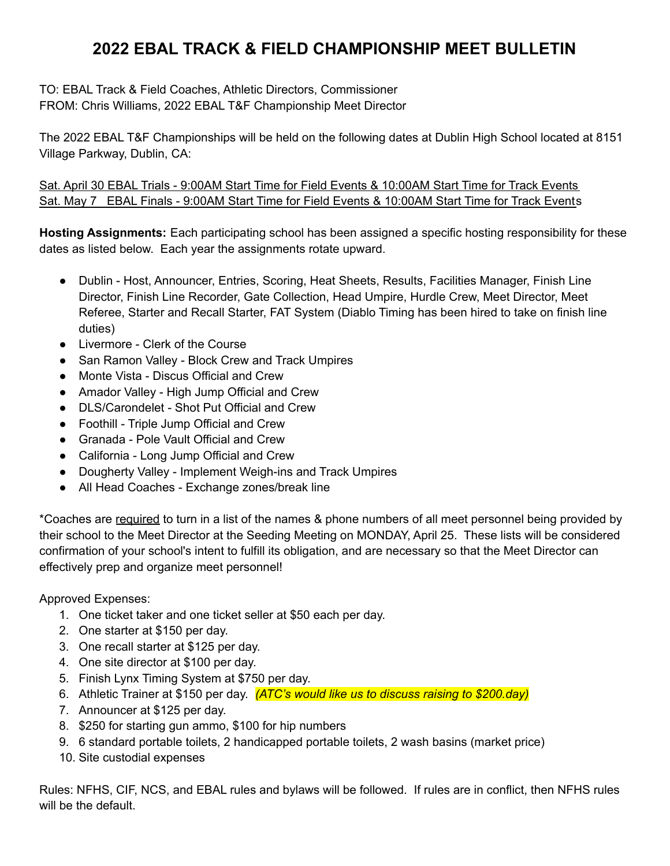TO: EBAL Track & Field Coaches, Athletic Directors, Commissioner FROM: Chris Williams, 2022 EBAL T&F Championship Meet Director

The 2022 EBAL T&F Championships will be held on the following dates at Dublin High School located at 8151 Village Parkway, Dublin, CA:

Sat. April 30 EBAL Trials - 9:00AM Start Time for Field Events & 10:00AM Start Time for Track Events Sat. May 7 EBAL Finals - 9:00AM Start Time for Field Events & 10:00AM Start Time for Track Events

**Hosting Assignments:** Each participating school has been assigned a specific hosting responsibility for these dates as listed below. Each year the assignments rotate upward.

- Dublin Host, Announcer, Entries, Scoring, Heat Sheets, Results, Facilities Manager, Finish Line Director, Finish Line Recorder, Gate Collection, Head Umpire, Hurdle Crew, Meet Director, Meet Referee, Starter and Recall Starter, FAT System (Diablo Timing has been hired to take on finish line duties)
- Livermore Clerk of the Course
- San Ramon Valley Block Crew and Track Umpires
- Monte Vista Discus Official and Crew
- Amador Valley High Jump Official and Crew
- DLS/Carondelet Shot Put Official and Crew
- Foothill Triple Jump Official and Crew
- Granada Pole Vault Official and Crew
- California Long Jump Official and Crew
- Dougherty Valley Implement Weigh-ins and Track Umpires
- All Head Coaches Exchange zones/break line

\*Coaches are required to turn in a list of the names & phone numbers of all meet personnel being provided by their school to the Meet Director at the Seeding Meeting on MONDAY, April 25. These lists will be considered confirmation of your school's intent to fulfill its obligation, and are necessary so that the Meet Director can effectively prep and organize meet personnel!

Approved Expenses:

- 1. One ticket taker and one ticket seller at \$50 each per day.
- 2. One starter at \$150 per day.
- 3. One recall starter at \$125 per day.
- 4. One site director at \$100 per day.
- 5. Finish Lynx Timing System at \$750 per day.
- 6. Athletic Trainer at \$150 per day. *(ATC's would like us to discuss raising to \$200.day)*
- 7. Announcer at \$125 per day.
- 8. \$250 for starting gun ammo, \$100 for hip numbers
- 9. 6 standard portable toilets, 2 handicapped portable toilets, 2 wash basins (market price)
- 10. Site custodial expenses

Rules: NFHS, CIF, NCS, and EBAL rules and bylaws will be followed. If rules are in conflict, then NFHS rules will be the default.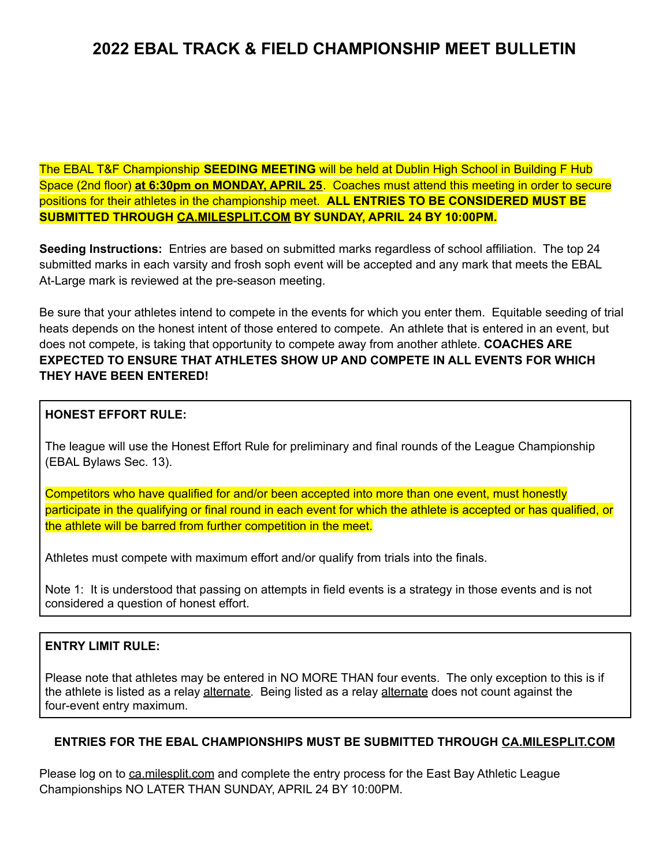The EBAL T&F Championship **SEEDING MEETING** will be held at Dublin High School in Building F Hub Space (2nd floor) **at 6:30pm on MONDAY, APRIL 25**. Coaches must attend this meeting in order to secure positions for their athletes in the championship meet. **ALL ENTRIES TO BE CONSIDERED MUST BE SUBMITTED THROUGH CA.MILESPLIT.COM BY SUNDAY, APRIL 24 BY 10:00PM.**

**Seeding Instructions:** Entries are based on submitted marks regardless of school affiliation. The top 24 submitted marks in each varsity and frosh soph event will be accepted and any mark that meets the EBAL At-Large mark is reviewed at the pre-season meeting.

Be sure that your athletes intend to compete in the events for which you enter them. Equitable seeding of trial heats depends on the honest intent of those entered to compete. An athlete that is entered in an event, but does not compete, is taking that opportunity to compete away from another athlete. **COACHES ARE EXPECTED TO ENSURE THAT ATHLETES SHOW UP AND COMPETE IN ALL EVENTS FOR WHICH THEY HAVE BEEN ENTERED!**

### **HONEST EFFORT RULE:**

The league will use the Honest Effort Rule for preliminary and final rounds of the League Championship (EBAL Bylaws Sec. 13).

Competitors who have qualified for and/or been accepted into more than one event, must honestly participate in the qualifying or final round in each event for which the athlete is accepted or has qualified, or the athlete will be barred from further competition in the meet.

Athletes must compete with maximum effort and/or qualify from trials into the finals.

Note 1: It is understood that passing on attempts in field events is a strategy in those events and is not considered a question of honest effort.

#### **ENTRY LIMIT RULE:**

Please note that athletes may be entered in NO MORE THAN four events. The only exception to this is if the athlete is listed as a relay alternate. Being listed as a relay alternate does not count against the four-event entry maximum.

#### **ENTRIES FOR THE EBAL CHAMPIONSHIPS MUST BE SUBMITTED THROUGH CA.MILESPLIT.COM**

Please log on to ca.milesplit.com and complete the entry process for the East Bay Athletic League Championships NO LATER THAN SUNDAY, APRIL 24 BY 10:00PM.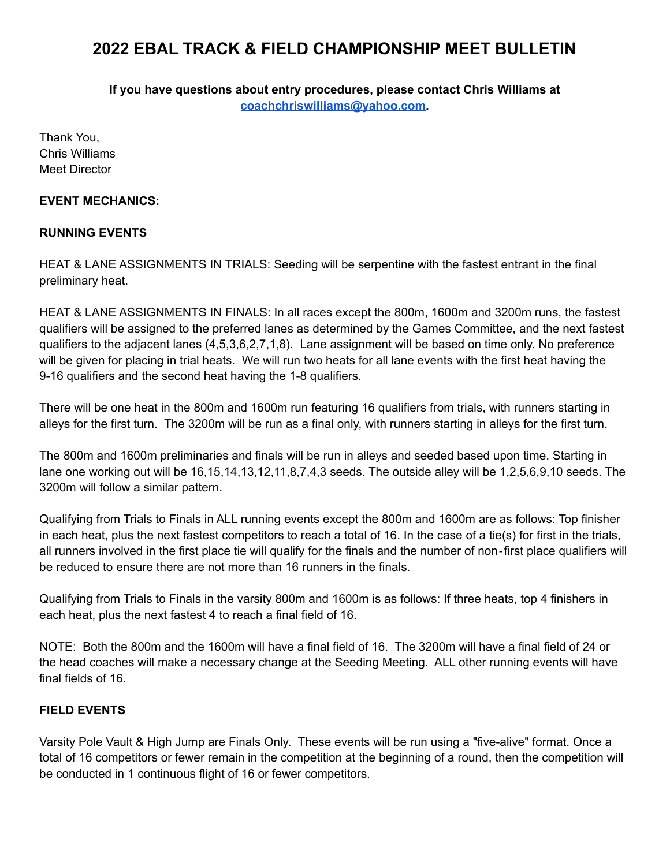**If you have questions about entry procedures, please contact Chris Williams at [coachchriswilliams@yahoo.com](mailto:coachchriswilliams@yahoo.com).**

Thank You, Chris Williams Meet Director

#### **EVENT MECHANICS:**

### **RUNNING EVENTS**

HEAT & LANE ASSIGNMENTS IN TRIALS: Seeding will be serpentine with the fastest entrant in the final preliminary heat.

HEAT & LANE ASSIGNMENTS IN FINALS: In all races except the 800m, 1600m and 3200m runs, the fastest qualifiers will be assigned to the preferred lanes as determined by the Games Committee, and the next fastest qualifiers to the adjacent lanes (4,5,3,6,2,7,1,8). Lane assignment will be based on time only. No preference will be given for placing in trial heats. We will run two heats for all lane events with the first heat having the 9-16 qualifiers and the second heat having the 1-8 qualifiers.

There will be one heat in the 800m and 1600m run featuring 16 qualifiers from trials, with runners starting in alleys for the first turn. The 3200m will be run as a final only, with runners starting in alleys for the first turn.

The 800m and 1600m preliminaries and finals will be run in alleys and seeded based upon time. Starting in lane one working out will be 16,15,14,13,12,11,8,7,4,3 seeds. The outside alley will be 1,2,5,6,9,10 seeds. The 3200m will follow a similar pattern.

Qualifying from Trials to Finals in ALL running events except the 800m and 1600m are as follows: Top finisher in each heat, plus the next fastest competitors to reach a total of 16. In the case of a tie(s) for first in the trials, all runners involved in the first place tie will qualify for the finals and the number of non‐first place qualifiers will be reduced to ensure there are not more than 16 runners in the finals.

Qualifying from Trials to Finals in the varsity 800m and 1600m is as follows: If three heats, top 4 finishers in each heat, plus the next fastest 4 to reach a final field of 16.

NOTE: Both the 800m and the 1600m will have a final field of 16. The 3200m will have a final field of 24 or the head coaches will make a necessary change at the Seeding Meeting. ALL other running events will have final fields of 16.

#### **FIELD EVENTS**

Varsity Pole Vault & High Jump are Finals Only. These events will be run using a "five-alive" format. Once a total of 16 competitors or fewer remain in the competition at the beginning of a round, then the competition will be conducted in 1 continuous flight of 16 or fewer competitors.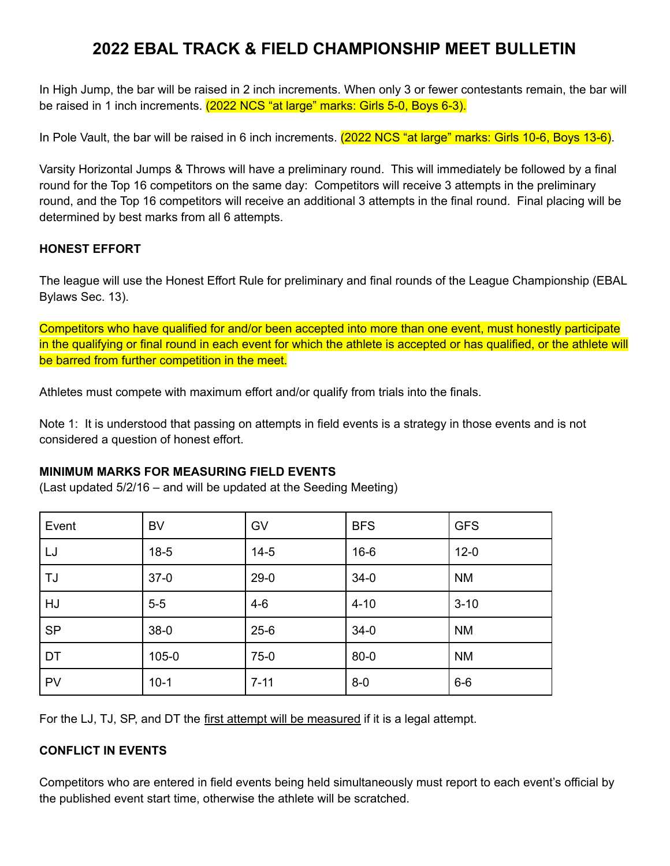In High Jump, the bar will be raised in 2 inch increments. When only 3 or fewer contestants remain, the bar will be raised in 1 inch increments. (2022 NCS "at large" marks: Girls 5-0, Boys 6-3).

In Pole Vault, the bar will be raised in 6 inch increments. (2022 NCS "at large" marks: Girls 10-6, Boys 13-6).

Varsity Horizontal Jumps & Throws will have a preliminary round. This will immediately be followed by a final round for the Top 16 competitors on the same day: Competitors will receive 3 attempts in the preliminary round, and the Top 16 competitors will receive an additional 3 attempts in the final round. Final placing will be determined by best marks from all 6 attempts.

### **HONEST EFFORT**

The league will use the Honest Effort Rule for preliminary and final rounds of the League Championship (EBAL Bylaws Sec. 13).

Competitors who have qualified for and/or been accepted into more than one event, must honestly participate in the qualifying or final round in each event for which the athlete is accepted or has qualified, or the athlete will be barred from further competition in the meet.

Athletes must compete with maximum effort and/or qualify from trials into the finals.

Note 1: It is understood that passing on attempts in field events is a strategy in those events and is not considered a question of honest effort.

#### **MINIMUM MARKS FOR MEASURING FIELD EVENTS**

(Last updated 5/2/16 – and will be updated at the Seeding Meeting)

| Event     | <b>BV</b> | GV       | <b>BFS</b> | <b>GFS</b> |
|-----------|-----------|----------|------------|------------|
| LJ        | $18-5$    | $14-5$   | $16-6$     | $12 - 0$   |
| TJ        | $37-0$    | $29-0$   | $34-0$     | <b>NM</b>  |
| HJ        | $5-5$     | $4-6$    | $4 - 10$   | $3 - 10$   |
| <b>SP</b> | $38-0$    | $25 - 6$ | $34-0$     | <b>NM</b>  |
| DT        | $105 - 0$ | $75-0$   | $80 - 0$   | <b>NM</b>  |
| <b>PV</b> | $10-1$    | $7 - 11$ | $8 - 0$    | $6-6$      |

For the LJ, TJ, SP, and DT the first attempt will be measured if it is a legal attempt.

## **CONFLICT IN EVENTS**

Competitors who are entered in field events being held simultaneously must report to each event's official by the published event start time, otherwise the athlete will be scratched.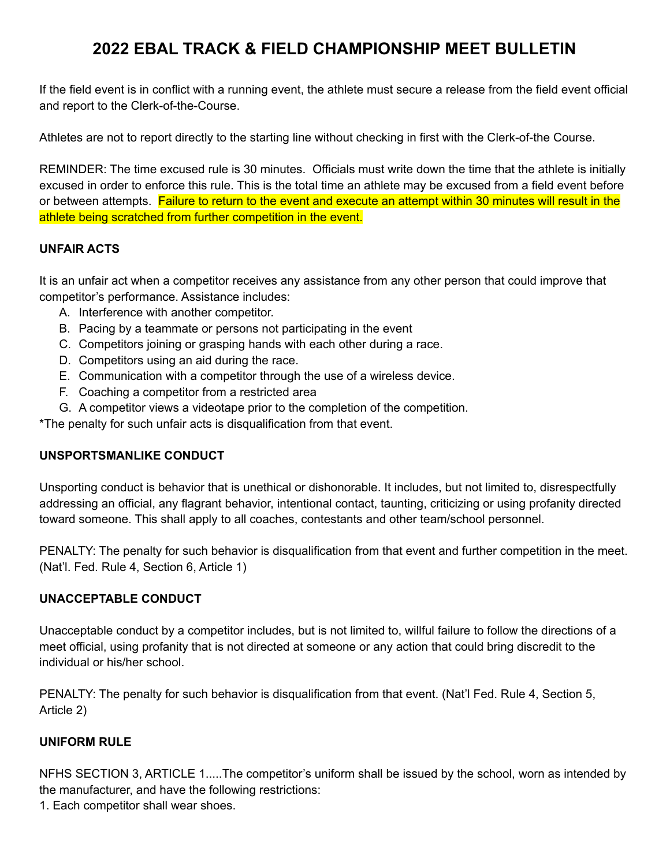If the field event is in conflict with a running event, the athlete must secure a release from the field event official and report to the Clerk-of-the-Course.

Athletes are not to report directly to the starting line without checking in first with the Clerk-of-the Course.

REMINDER: The time excused rule is 30 minutes. Officials must write down the time that the athlete is initially excused in order to enforce this rule. This is the total time an athlete may be excused from a field event before or between attempts. Failure to return to the event and execute an attempt within 30 minutes will result in the athlete being scratched from further competition in the event.

### **UNFAIR ACTS**

It is an unfair act when a competitor receives any assistance from any other person that could improve that competitor's performance. Assistance includes:

- A. Interference with another competitor.
- B. Pacing by a teammate or persons not participating in the event
- C. Competitors joining or grasping hands with each other during a race.
- D. Competitors using an aid during the race.
- E. Communication with a competitor through the use of a wireless device.
- F. Coaching a competitor from a restricted area
- G. A competitor views a videotape prior to the completion of the competition.

\*The penalty for such unfair acts is disqualification from that event.

#### **UNSPORTSMANLIKE CONDUCT**

Unsporting conduct is behavior that is unethical or dishonorable. It includes, but not limited to, disrespectfully addressing an official, any flagrant behavior, intentional contact, taunting, criticizing or using profanity directed toward someone. This shall apply to all coaches, contestants and other team/school personnel.

PENALTY: The penalty for such behavior is disqualification from that event and further competition in the meet. (Nat'l. Fed. Rule 4, Section 6, Article 1)

#### **UNACCEPTABLE CONDUCT**

Unacceptable conduct by a competitor includes, but is not limited to, willful failure to follow the directions of a meet official, using profanity that is not directed at someone or any action that could bring discredit to the individual or his/her school.

PENALTY: The penalty for such behavior is disqualification from that event. (Nat'l Fed. Rule 4, Section 5, Article 2)

#### **UNIFORM RULE**

NFHS SECTION 3, ARTICLE 1.....The competitor's uniform shall be issued by the school, worn as intended by the manufacturer, and have the following restrictions:

1. Each competitor shall wear shoes.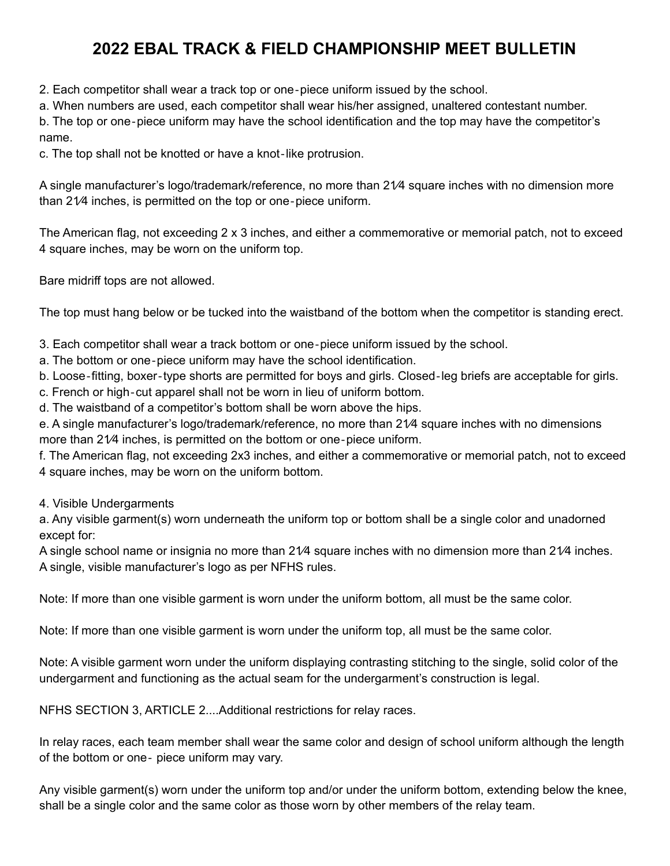2. Each competitor shall wear a track top or one‐piece uniform issued by the school.

a. When numbers are used, each competitor shall wear his/her assigned, unaltered contestant number.

b. The top or one‐piece uniform may have the school identification and the top may have the competitor's name.

c. The top shall not be knotted or have a knot‐like protrusion.

A single manufacturer's logo/trademark/reference, no more than 21⁄4 square inches with no dimension more than 21⁄4 inches, is permitted on the top or one‐piece uniform.

The American flag, not exceeding 2 x 3 inches, and either a commemorative or memorial patch, not to exceed 4 square inches, may be worn on the uniform top.

Bare midriff tops are not allowed.

The top must hang below or be tucked into the waistband of the bottom when the competitor is standing erect.

3. Each competitor shall wear a track bottom or one‐piece uniform issued by the school.

a. The bottom or one‐piece uniform may have the school identification.

b. Loose‐fitting, boxer‐type shorts are permitted for boys and girls. Closed‐leg briefs are acceptable for girls.

c. French or high‐cut apparel shall not be worn in lieu of uniform bottom.

d. The waistband of a competitor's bottom shall be worn above the hips.

e. A single manufacturer's logo/trademark/reference, no more than 21⁄4 square inches with no dimensions more than 21⁄4 inches, is permitted on the bottom or one‐piece uniform.

f. The American flag, not exceeding 2x3 inches, and either a commemorative or memorial patch, not to exceed 4 square inches, may be worn on the uniform bottom.

4. Visible Undergarments

a. Any visible garment(s) worn underneath the uniform top or bottom shall be a single color and unadorned except for:

A single school name or insignia no more than 21⁄4 square inches with no dimension more than 21⁄4 inches. A single, visible manufacturer's logo as per NFHS rules.

Note: If more than one visible garment is worn under the uniform bottom, all must be the same color.

Note: If more than one visible garment is worn under the uniform top, all must be the same color.

Note: A visible garment worn under the uniform displaying contrasting stitching to the single, solid color of the undergarment and functioning as the actual seam for the undergarment's construction is legal.

NFHS SECTION 3, ARTICLE 2....Additional restrictions for relay races.

In relay races, each team member shall wear the same color and design of school uniform although the length of the bottom or one‐ piece uniform may vary.

Any visible garment(s) worn under the uniform top and/or under the uniform bottom, extending below the knee, shall be a single color and the same color as those worn by other members of the relay team.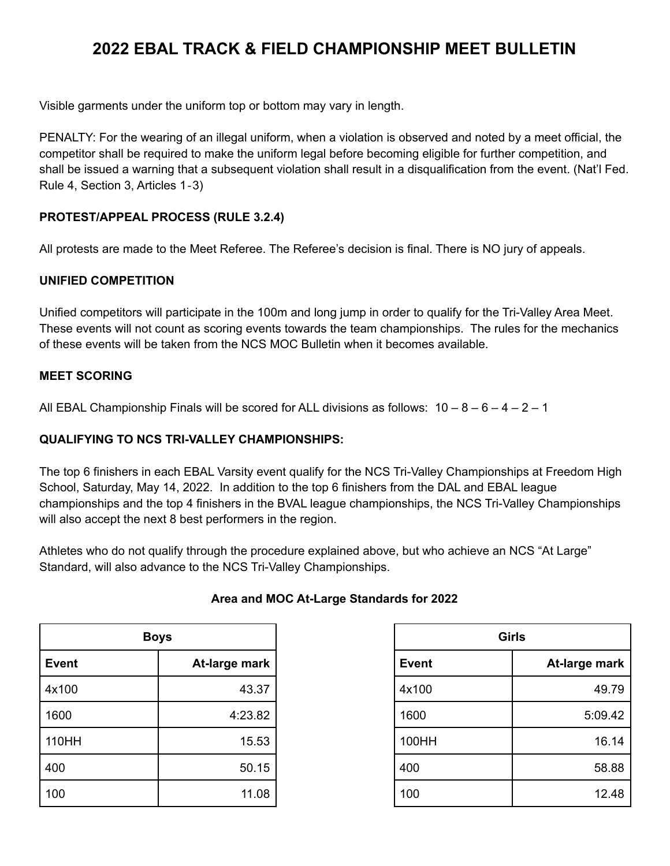Visible garments under the uniform top or bottom may vary in length.

PENALTY: For the wearing of an illegal uniform, when a violation is observed and noted by a meet official, the competitor shall be required to make the uniform legal before becoming eligible for further competition, and shall be issued a warning that a subsequent violation shall result in a disqualification from the event. (Nat'l Fed. Rule 4, Section 3, Articles 1‐3)

## **PROTEST/APPEAL PROCESS (RULE 3.2.4)**

All protests are made to the Meet Referee. The Referee's decision is final. There is NO jury of appeals.

## **UNIFIED COMPETITION**

Unified competitors will participate in the 100m and long jump in order to qualify for the Tri-Valley Area Meet. These events will not count as scoring events towards the team championships. The rules for the mechanics of these events will be taken from the NCS MOC Bulletin when it becomes available.

### **MEET SCORING**

All EBAL Championship Finals will be scored for ALL divisions as follows:  $10 - 8 - 6 - 4 - 2 - 1$ 

### **QUALIFYING TO NCS TRI-VALLEY CHAMPIONSHIPS:**

The top 6 finishers in each EBAL Varsity event qualify for the NCS Tri-Valley Championships at Freedom High School, Saturday, May 14, 2022. In addition to the top 6 finishers from the DAL and EBAL league championships and the top 4 finishers in the BVAL league championships, the NCS Tri-Valley Championships will also accept the next 8 best performers in the region.

Athletes who do not qualify through the procedure explained above, but who achieve an NCS "At Large" Standard, will also advance to the NCS Tri-Valley Championships.

| <b>Boys</b>  |               |
|--------------|---------------|
| <b>Event</b> | At-large mark |
| 4x100        | 43.37         |
| 1600         | 4:23.82       |
| 110HH        | 15.53         |
| 400          | 50.15         |
| 100          | 11.08         |

## **Area and MOC At-Large Standards for 2022**

| <b>Girls</b> |               |  |  |
|--------------|---------------|--|--|
| <b>Event</b> | At-large mark |  |  |
| 4x100        | 49.79         |  |  |
| 1600         | 5:09.42       |  |  |
| 100HH        | 16.14         |  |  |
| 400          | 58.88         |  |  |
| 100          | 12.48         |  |  |